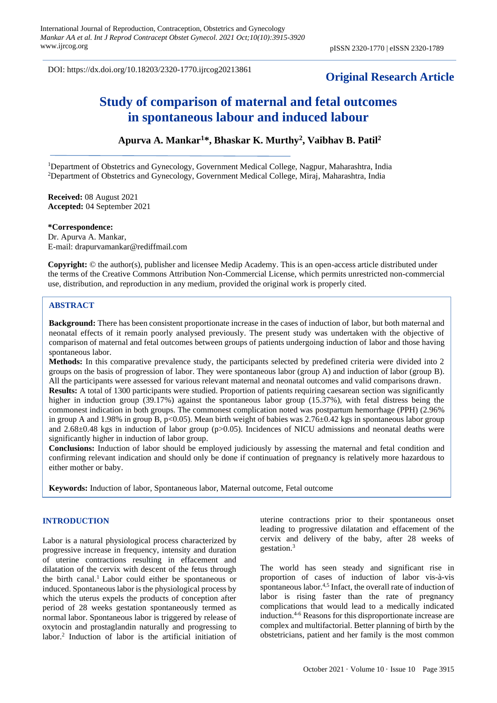DOI: https://dx.doi.org/10.18203/2320-1770.ijrcog20213861

## **Original Research Article**

# **Study of comparison of maternal and fetal outcomes in spontaneous labour and induced labour**

## **Apurva A. Mankar<sup>1</sup>\*, Bhaskar K. Murthy<sup>2</sup> , Vaibhav B. Patil<sup>2</sup>**

<sup>1</sup>Department of Obstetrics and Gynecology, Government Medical College, Nagpur, Maharashtra, India <sup>2</sup>Department of Obstetrics and Gynecology, Government Medical College, Miraj, Maharashtra, India

**Received:** 08 August 2021 **Accepted:** 04 September 2021

**\*Correspondence:** Dr. Apurva A. Mankar, E-mail: drapurvamankar@rediffmail.com

**Copyright:** © the author(s), publisher and licensee Medip Academy. This is an open-access article distributed under the terms of the Creative Commons Attribution Non-Commercial License, which permits unrestricted non-commercial use, distribution, and reproduction in any medium, provided the original work is properly cited.

## **ABSTRACT**

**Background:** There has been consistent proportionate increase in the cases of induction of labor, but both maternal and neonatal effects of it remain poorly analysed previously. The present study was undertaken with the objective of comparison of maternal and fetal outcomes between groups of patients undergoing induction of labor and those having spontaneous labor.

**Methods:** In this comparative prevalence study, the participants selected by predefined criteria were divided into 2 groups on the basis of progression of labor. They were spontaneous labor (group A) and induction of labor (group B). All the participants were assessed for various relevant maternal and neonatal outcomes and valid comparisons drawn. **Results:** A total of 1300 participants were studied. Proportion of patients requiring caesarean section was significantly higher in induction group (39.17%) against the spontaneous labor group (15.37%), with fetal distress being the commonest indication in both groups. The commonest complication noted was postpartum hemorrhage (PPH) (2.96% in group A and 1.98% in group B, p<0.05). Mean birth weight of babies was  $2.76\pm0.42$  kgs in spontaneous labor group and 2.68±0.48 kgs in induction of labor group (p>0.05). Incidences of NICU admissions and neonatal deaths were significantly higher in induction of labor group.

**Conclusions:** Induction of labor should be employed judiciously by assessing the maternal and fetal condition and confirming relevant indication and should only be done if continuation of pregnancy is relatively more hazardous to either mother or baby.

**Keywords:** Induction of labor, Spontaneous labor, Maternal outcome, Fetal outcome

### **INTRODUCTION**

Labor is a natural physiological process characterized by progressive increase in frequency, intensity and duration of uterine contractions resulting in effacement and dilatation of the cervix with descent of the fetus through the birth canal.<sup>1</sup> Labor could either be spontaneous or induced. Spontaneous labor is the physiological process by which the uterus expels the products of conception after period of 28 weeks gestation spontaneously termed as normal labor. Spontaneous labor is triggered by release of oxytocin and prostaglandin naturally and progressing to labor.<sup>2</sup> Induction of labor is the artificial initiation of uterine contractions prior to their spontaneous onset leading to progressive dilatation and effacement of the cervix and delivery of the baby, after 28 weeks of gestation.<sup>3</sup>

The world has seen steady and significant rise in proportion of cases of induction of labor vis-à-vis spontaneous labor.<sup>4,5</sup> Infact, the overall rate of induction of labor is rising faster than the rate of pregnancy complications that would lead to a medically indicated induction.4-6 Reasons for this disproportionate increase are complex and multifactorial. Better planning of birth by the obstetricians, patient and her family is the most common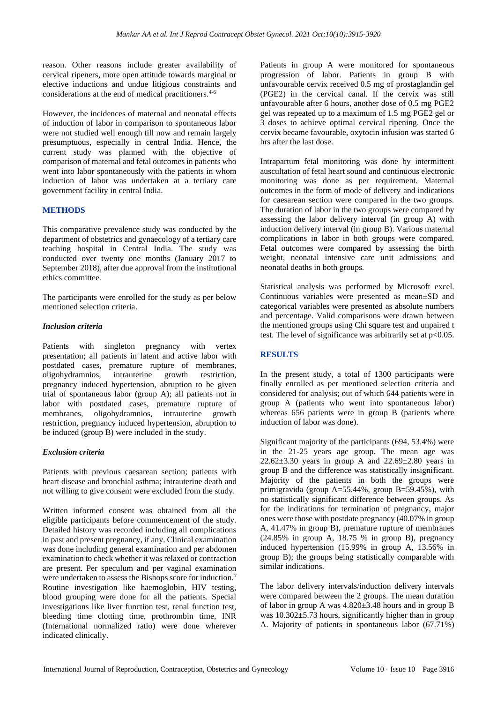reason. Other reasons include greater availability of cervical ripeners, more open attitude towards marginal or elective inductions and undue litigious constraints and considerations at the end of medical practitioners.4-6

However, the incidences of maternal and neonatal effects of induction of labor in comparison to spontaneous labor were not studied well enough till now and remain largely presumptuous, especially in central India. Hence, the current study was planned with the objective of comparison of maternal and fetal outcomes in patients who went into labor spontaneously with the patients in whom induction of labor was undertaken at a tertiary care government facility in central India.

## **METHODS**

This comparative prevalence study was conducted by the department of obstetrics and gynaecology of a tertiary care teaching hospital in Central India. The study was conducted over twenty one months (January 2017 to September 2018), after due approval from the institutional ethics committee.

The participants were enrolled for the study as per below mentioned selection criteria.

## *Inclusion criteria*

Patients with singleton pregnancy with vertex presentation; all patients in latent and active labor with postdated cases, premature rupture of membranes, oligohydramnios, intrauterine growth restriction, pregnancy induced hypertension, abruption to be given trial of spontaneous labor (group A); all patients not in labor with postdated cases, premature rupture of membranes, oligohydramnios, intrauterine growth restriction, pregnancy induced hypertension, abruption to be induced (group B) were included in the study.

## *Exclusion criteria*

Patients with previous caesarean section; patients with heart disease and bronchial asthma; intrauterine death and not willing to give consent were excluded from the study.

Written informed consent was obtained from all the eligible participants before commencement of the study. Detailed history was recorded including all complications in past and present pregnancy, if any. Clinical examination was done including general examination and per abdomen examination to check whether it was relaxed or contraction are present. Per speculum and per vaginal examination were undertaken to assess the Bishops score for induction.<sup>7</sup> Routine investigation like haemoglobin, HIV testing, blood grouping were done for all the patients. Special investigations like liver function test, renal function test, bleeding time clotting time, prothrombin time, INR (International normalized ratio) were done wherever indicated clinically.

Patients in group A were monitored for spontaneous progression of labor. Patients in group B with unfavourable cervix received 0.5 mg of prostaglandin gel (PGE2) in the cervical canal. If the cervix was still unfavourable after 6 hours, another dose of 0.5 mg PGE2 gel was repeated up to a maximum of 1.5 mg PGE2 gel or 3 doses to achieve optimal cervical ripening. Once the cervix became favourable, oxytocin infusion was started 6 hrs after the last dose.

Intrapartum fetal monitoring was done by intermittent auscultation of fetal heart sound and continuous electronic monitoring was done as per requirement. Maternal outcomes in the form of mode of delivery and indications for caesarean section were compared in the two groups. The duration of labor in the two groups were compared by assessing the labor delivery interval (in group A) with induction delivery interval (in group B). Various maternal complications in labor in both groups were compared. Fetal outcomes were compared by assessing the birth weight, neonatal intensive care unit admissions and neonatal deaths in both groups.

Statistical analysis was performed by Microsoft excel. Continuous variables were presented as mean±SD and categorical variables were presented as absolute numbers and percentage. Valid comparisons were drawn between the mentioned groups using Chi square test and unpaired t test. The level of significance was arbitrarily set at  $p<0.05$ .

## **RESULTS**

In the present study, a total of 1300 participants were finally enrolled as per mentioned selection criteria and considered for analysis; out of which 644 patients were in group A (patients who went into spontaneous labor) whereas 656 patients were in group B (patients where induction of labor was done).

Significant majority of the participants (694, 53.4%) were in the 21-25 years age group. The mean age was  $22.62\pm3.30$  years in group A and  $22.69\pm2.80$  years in group B and the difference was statistically insignificant. Majority of the patients in both the groups were primigravida (group A=55.44%, group B=59.45%), with no statistically significant difference between groups. As for the indications for termination of pregnancy, major ones were those with postdate pregnancy (40.07% in group A, 41.47% in group B), premature rupture of membranes (24.85% in group A, 18.75 % in group B), pregnancy induced hypertension (15.99% in group A, 13.56% in group B); the groups being statistically comparable with similar indications.

The labor delivery intervals/induction delivery intervals were compared between the 2 groups. The mean duration of labor in group A was 4.820±3.48 hours and in group B was  $10.302 \pm 5.73$  hours, significantly higher than in group A. Majority of patients in spontaneous labor (67.71%)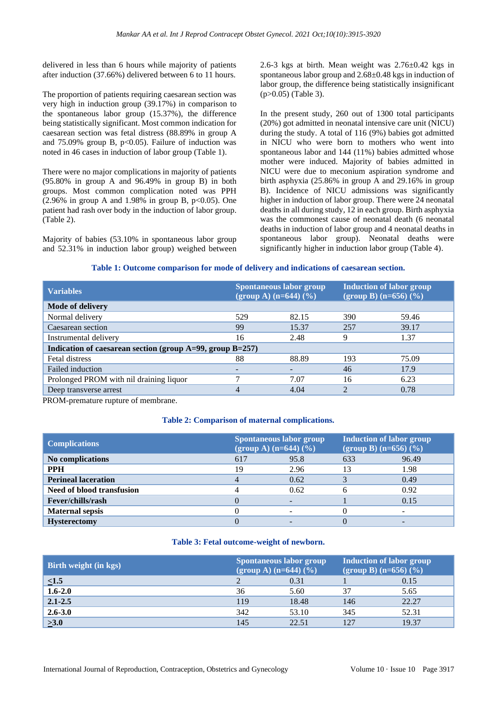delivered in less than 6 hours while majority of patients after induction (37.66%) delivered between 6 to 11 hours.

The proportion of patients requiring caesarean section was very high in induction group (39.17%) in comparison to the spontaneous labor group (15.37%), the difference being statistically significant. Most common indication for caesarean section was fetal distress (88.89% in group A and  $75.09\%$  group B,  $p<0.05$ ). Failure of induction was noted in 46 cases in induction of labor group (Table 1).

There were no major complications in majority of patients (95.80% in group A and 96.49% in group B) in both groups. Most common complication noted was PPH  $(2.96\%$  in group A and 1.98% in group B, p<0.05). One patient had rash over body in the induction of labor group. (Table 2).

Majority of babies (53.10% in spontaneous labor group and 52.31% in induction labor group) weighed between 2.6-3 kgs at birth. Mean weight was  $2.76\pm0.42$  kgs in spontaneous labor group and 2.68±0.48 kgs in induction of labor group, the difference being statistically insignificant (p>0.05) (Table 3).

In the present study, 260 out of 1300 total participants (20%) got admitted in neonatal intensive care unit (NICU) during the study. A total of 116 (9%) babies got admitted in NICU who were born to mothers who went into spontaneous labor and 144 (11%) babies admitted whose mother were induced. Majority of babies admitted in NICU were due to meconium aspiration syndrome and birth asphyxia (25.86% in group A and 29.16% in group B). Incidence of NICU admissions was significantly higher in induction of labor group. There were 24 neonatal deaths in all during study, 12 in each group. Birth asphyxia was the commonest cause of neonatal death (6 neonatal deaths in induction of labor group and 4 neonatal deaths in spontaneous labor group). Neonatal deaths were significantly higher in induction labor group (Table 4).

## **Table 1: Outcome comparison for mode of delivery and indications of caesarean section.**

| <b>Variables</b>                                                | <b>Spontaneous labor group</b><br>$\frac{1}{2}$ (group A) (n=644) (%) |       | <b>Induction of labor group</b><br>$(group B) (n=656) (%)$ |       |  |
|-----------------------------------------------------------------|-----------------------------------------------------------------------|-------|------------------------------------------------------------|-------|--|
| Mode of delivery                                                |                                                                       |       |                                                            |       |  |
| Normal delivery                                                 | 529                                                                   | 82.15 | 390                                                        | 59.46 |  |
| Caesarean section                                               | 99                                                                    | 15.37 | 257                                                        | 39.17 |  |
| Instrumental delivery                                           | 16                                                                    | 2.48  | 9                                                          | 1.37  |  |
| Indication of caesarean section (group $A=99$ , group $B=257$ ) |                                                                       |       |                                                            |       |  |
| Fetal distress                                                  | 88                                                                    | 88.89 | 193                                                        | 75.09 |  |
| Failed induction                                                |                                                                       |       | 46                                                         | 17.9  |  |
| Prolonged PROM with nil draining liquor                         |                                                                       | 7.07  | 16                                                         | 6.23  |  |
| Deep transverse arrest                                          |                                                                       | 4.04  |                                                            | 0.78  |  |

PROM-premature rupture of membrane.

## **Table 2: Comparison of maternal complications.**

| <b>Complications</b>             | <b>Spontaneous labor group</b><br>$(group A) (n=644) (%)$ |      | <b>Induction of labor group</b><br>$\overline{q}$ (group B) (n=656) (%) |       |
|----------------------------------|-----------------------------------------------------------|------|-------------------------------------------------------------------------|-------|
| No complications                 | 617                                                       | 95.8 | 633                                                                     | 96.49 |
| <b>PPH</b>                       | 19                                                        | 2.96 | 13                                                                      | 1.98  |
| <b>Perineal laceration</b>       |                                                           | 0.62 |                                                                         | 0.49  |
| <b>Need of blood transfusion</b> |                                                           | 0.62 |                                                                         | 0.92  |
| Fever/chills/rash                |                                                           |      |                                                                         | 0.15  |
| <b>Maternal sepsis</b>           |                                                           |      |                                                                         |       |
| <b>Hysterectomy</b>              |                                                           |      |                                                                         |       |

#### **Table 3: Fetal outcome-weight of newborn.**

| <b>Birth weight (in kgs)</b> | Spontaneous labor group<br>$(group A) (n=644) (%)$ |       | <b>Induction of labor group</b><br>$(group B) (n=656) (%)$ |       |
|------------------------------|----------------------------------------------------|-------|------------------------------------------------------------|-------|
| $\leq1.5$                    |                                                    | 0.31  |                                                            | 0.15  |
| $1.6 - 2.0$                  | 36                                                 | 5.60  | 37                                                         | 5.65  |
| $2.1 - 2.5$                  | 119                                                | 18.48 | 146                                                        | 22.27 |
| $2.6 - 3.0$                  | 342                                                | 53.10 | 345                                                        | 52.31 |
| $\geq 3.0$                   | 145                                                | 22.51 | 127                                                        | 19.37 |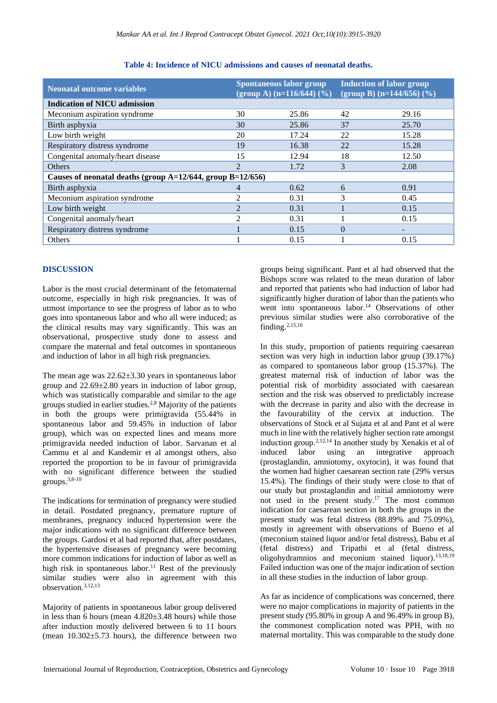| <b>Neonatal outcome variables</b>                          | <b>Spontaneous labor group</b><br>$(group A) (n=116/644) (%)$ |       | <b>Induction of labor group</b><br>(group B) (n=144/656) $(\frac{9}{6})$ |       |  |
|------------------------------------------------------------|---------------------------------------------------------------|-------|--------------------------------------------------------------------------|-------|--|
| <b>Indication of NICU admission</b>                        |                                                               |       |                                                                          |       |  |
| Meconium aspiration syndrome                               | 30                                                            | 25.86 | 42                                                                       | 29.16 |  |
| Birth asphyxia                                             | 30                                                            | 25.86 | 37                                                                       | 25.70 |  |
| Low birth weight                                           | 20                                                            | 17.24 | 22                                                                       | 15.28 |  |
| Respiratory distress syndrome                              | 19                                                            | 16.38 | 22                                                                       | 15.28 |  |
| Congenital anomaly/heart disease                           | 15                                                            | 12.94 | 18                                                                       | 12.50 |  |
| <b>Others</b>                                              | $\overline{2}$                                                | 1.72  | 3                                                                        | 2.08  |  |
| Causes of neonatal deaths (group A=12/644, group B=12/656) |                                                               |       |                                                                          |       |  |
| Birth asphyxia                                             | $\overline{4}$                                                | 0.62  | 6                                                                        | 0.91  |  |
| Meconium aspiration syndrome                               | 2                                                             | 0.31  | 3                                                                        | 0.45  |  |
| Low birth weight                                           | $\mathcal{L}$                                                 | 0.31  |                                                                          | 0.15  |  |
| Congenital anomaly/heart                                   | $\mathfrak{D}$                                                | 0.31  |                                                                          | 0.15  |  |
| Respiratory distress syndrome                              |                                                               | 0.15  | $\theta$                                                                 |       |  |
| Others                                                     |                                                               | 0.15  |                                                                          | 0.15  |  |

## **Table 4: Incidence of NICU admissions and causes of neonatal deaths.**

## **DISCUSSION**

Labor is the most crucial determinant of the fetomaternal outcome, especially in high risk pregnancies. It was of utmost importance to see the progress of labor as to who goes into spontaneous labor and who all were induced; as the clinical results may vary significantly. This was an observational, prospective study done to assess and compare the maternal and fetal outcomes in spontaneous and induction of labor in all high risk pregnancies.

The mean age was  $22.62 \pm 3.30$  years in spontaneous labor group and 22.69±2.80 years in induction of labor group, which was statistically comparable and similar to the age groups studied in earlier studies.2,8 Majority of the patients in both the groups were primigravida (55.44% in spontaneous labor and 59.45% in induction of labor group), which was on expected lines and means more primigravida needed induction of labor. Sarvanan et al Cammu et al and Kandemir et al amongst others, also reported the proportion to be in favour of primigravida with no significant difference between the studied groups.3,8-10

The indications for termination of pregnancy were studied in detail. Postdated pregnancy, premature rupture of membranes, pregnancy induced hypertension were the major indications with no significant difference between the groups. Gardosi et al had reported that, after postdates, the hypertensive diseases of pregnancy were becoming more common indications for induction of labor as well as high risk in spontaneous labor.<sup>11</sup> Rest of the previously similar studies were also in agreement with this observation.3,12,13

Majority of patients in spontaneous labor group delivered in less than 6 hours (mean 4.820±3.48 hours) while those after induction mostly delivered between 6 to 11 hours (mean  $10.302 \pm 5.73$  hours), the difference between two groups being significant. Pant et al had observed that the Bishops score was related to the mean duration of labor and reported that patients who had induction of labor had significantly higher duration of labor than the patients who went into spontaneous labor.<sup>14</sup> Observations of other previous similar studies were also corroborative of the finding.2,15,16

In this study, proportion of patients requiring caesarean section was very high in induction labor group (39.17%) as compared to spontaneous labor group (15.37%). The greatest maternal risk of induction of labor was the potential risk of morbidity associated with caesarean section and the risk was observed to predictably increase with the decrease in parity and also with the decrease in the favourability of the cervix at induction. The observations of Stock et al Sujata et al and Pant et al were much in line with the relatively higher section rate amongst induction group.2,12,14 In another study by Xenakis et al of induced labor using an integrative approach (prostaglandin, amniotomy, oxytocin), it was found that the women had higher caesarean section rate (29% versus 15.4%). The findings of their study were close to that of our study but prostaglandin and initial amniotomy were not used in the present study.<sup>17</sup> The most common indication for caesarean section in both the groups in the present study was fetal distress (88.89% and 75.09%), mostly in agreement with observations of Bueno et al (meconium stained liquor and/or fetal distress), Babu et al (fetal distress) and Tripathi et al (fetal distress, oligohydramnios and meconium stained liquor).13,18,19 Failed induction was one of the major indication of section in all these studies in the induction of labor group.

As far as incidence of complications was concerned, there were no major complications in majority of patients in the present study (95.80% in group A and 96.49% in group B), the commonest complication noted was PPH, with no maternal mortality. This was comparable to the study done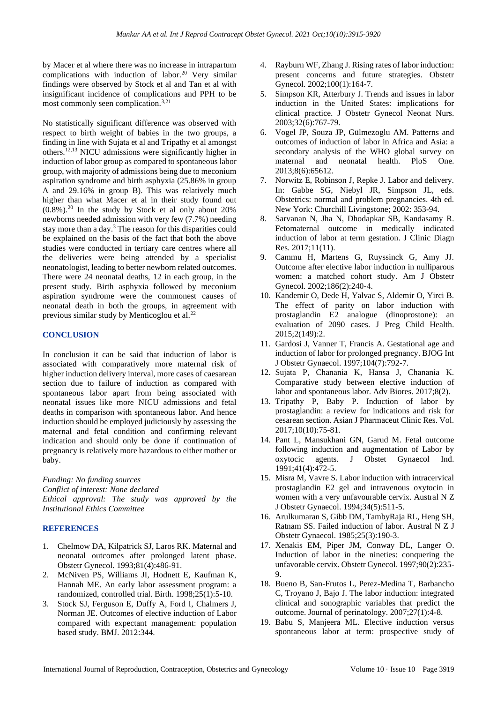by Macer et al where there was no increase in intrapartum complications with induction of labor.<sup>20</sup> Very similar findings were observed by Stock et al and Tan et al with insignificant incidence of complications and PPH to be most commonly seen complication.<sup>3,21</sup>

No statistically significant difference was observed with respect to birth weight of babies in the two groups, a finding in line with Sujata et al and Tripathy et al amongst others.12,13 NICU admissions were significantly higher in induction of labor group as compared to spontaneous labor group, with majority of admissions being due to meconium aspiration syndrome and birth asphyxia (25.86% in group A and 29.16% in group B). This was relatively much higher than what Macer et al in their study found out  $(0.8\%)$ .<sup>20</sup> In the study by Stock et al only about 20% newborns needed admission with very few (7.7%) needing stay more than a day.<sup>3</sup> The reason for this disparities could be explained on the basis of the fact that both the above studies were conducted in tertiary care centres where all the deliveries were being attended by a specialist neonatologist, leading to better newborn related outcomes. There were 24 neonatal deaths, 12 in each group, in the present study. Birth asphyxia followed by meconium aspiration syndrome were the commonest causes of neonatal death in both the groups, in agreement with previous similar study by Menticoglou et al.<sup>22</sup>

### **CONCLUSION**

In conclusion it can be said that induction of labor is associated with comparatively more maternal risk of higher induction delivery interval, more cases of caesarean section due to failure of induction as compared with spontaneous labor apart from being associated with neonatal issues like more NICU admissions and fetal deaths in comparison with spontaneous labor. And hence induction should be employed judiciously by assessing the maternal and fetal condition and confirming relevant indication and should only be done if continuation of pregnancy is relatively more hazardous to either mother or baby.

*Funding: No funding sources Conflict of interest: None declared Ethical approval: The study was approved by the Institutional Ethics Committee*

## **REFERENCES**

- 1. Chelmow DA, Kilpatrick SJ, Laros RK. Maternal and neonatal outcomes after prolonged latent phase. Obstetr Gynecol. 1993;81(4):486-91.
- 2. McNiven PS, Williams JI, Hodnett E, Kaufman K, Hannah ME. An early labor assessment program: a randomized, controlled trial. Birth. 1998;25(1):5-10.
- 3. Stock SJ, Ferguson E, Duffy A, Ford I, Chalmers J, Norman JE. Outcomes of elective induction of Labor compared with expectant management: population based study. BMJ. 2012:344.
- 4. Rayburn WF, Zhang J. Rising rates of labor induction: present concerns and future strategies. Obstetr Gynecol. 2002;100(1):164-7.
- 5. Simpson KR, Atterbury J. Trends and issues in labor induction in the United States: implications for clinical practice. J Obstetr Gynecol Neonat Nurs. 2003;32(6):767-79.
- 6. Vogel JP, Souza JP, Gülmezoglu AM. Patterns and outcomes of induction of labor in Africa and Asia: a secondary analysis of the WHO global survey on maternal and neonatal health. PloS One. 2013;8(6):65612.
- 7. Norwitz E, Robinson J, Repke J. Labor and delivery. In: Gabbe SG, Niebyl JR, Simpson JL, eds. Obstetrics: normal and problem pregnancies. 4th ed. New York: Churchill Livingstone; 2002: 353-94.
- 8. Sarvanan N, Jha N, Dhodapkar SB, Kandasamy R. Fetomaternal outcome in medically indicated induction of labor at term gestation. J Clinic Diagn Res. 2017;11(11).
- 9. Cammu H, Martens G, Ruyssinck G, Amy JJ. Outcome after elective labor induction in nulliparous women: a matched cohort study. Am J Obstetr Gynecol. 2002;186(2):240-4.
- 10. Kandemir O, Dede H, Yalvac S, Aldemir O, Yirci B. The effect of parity on labor induction with prostaglandin E2 analogue (dinoprostone): an evaluation of 2090 cases. J Preg Child Health. 2015;2(149):2.
- 11. Gardosi J, Vanner T, Francis A. Gestational age and induction of labor for prolonged pregnancy. BJOG Int J Obstetr Gynaecol. 1997;104(7):792-7.
- 12. Sujata P, Chanania K, Hansa J, Chanania K. Comparative study between elective induction of labor and spontaneous labor. Adv Biores. 2017;8(2).
- 13. Tripathy P, Baby P. Induction of labor by prostaglandin: a review for indications and risk for cesarean section. Asian J Pharmaceut Clinic Res. Vol. 2017;10(10):75-81.
- 14. Pant L, Mansukhani GN, Garud M. Fetal outcome following induction and augmentation of Labor by oxytocic agents. J Obstet Gynaecol Ind. 1991;41(4):472-5.
- 15. Misra M, Vavre S. Labor induction with intracervical prostaglandin E2 gel and intravenous oxytocin in women with a very unfavourable cervix. Austral N Z J Obstetr Gynaecol. 1994;34(5):511-5.
- 16. Arulkumaran S, Gibb DM, TambyRaja RL, Heng SH, Ratnam SS. Failed induction of labor. Austral N Z J Obstetr Gynaecol. 1985;25(3):190-3.
- 17. Xenakis EM, Piper JM, Conway DL, Langer O. Induction of labor in the nineties: conquering the unfavorable cervix. Obstetr Gynecol. 1997;90(2):235- 9.
- 18. Bueno B, San-Frutos L, Perez-Medina T, Barbancho C, Troyano J, Bajo J. The labor induction: integrated clinical and sonographic variables that predict the outcome. Journal of perinatology. 2007;27(1):4-8.
- 19. Babu S, Manjeera ML. Elective induction versus spontaneous labor at term: prospective study of